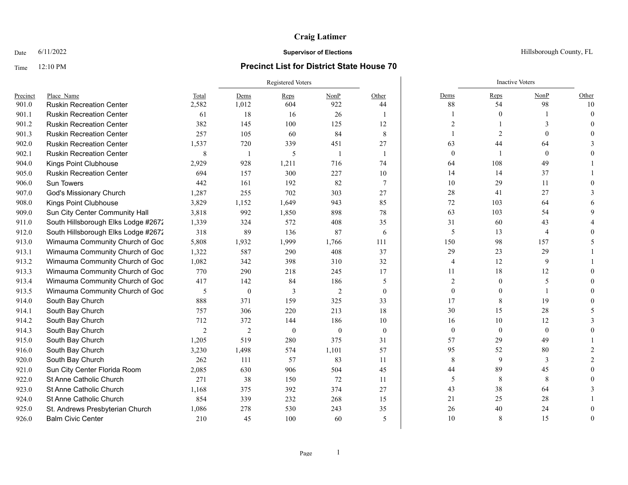## **Craig Latimer**

## Time 12:10 PM **Precinct List for District State House 70**

|          |                                     |                | Registered Voters |                |              |                          |                | <b>Inactive Voters</b> |                |          |
|----------|-------------------------------------|----------------|-------------------|----------------|--------------|--------------------------|----------------|------------------------|----------------|----------|
| Precinct | Place Name                          | Total          | Dems              | Reps           | NonP         | Other                    | Dems           | Reps                   | NonP           | Other    |
| 901.0    | <b>Ruskin Recreation Center</b>     | 2,582          | 1,012             | 604            | 922          | 44                       | 88             | 54                     | 98             | 10       |
| 901.1    | <b>Ruskin Recreation Center</b>     | 61             | 18                | 16             | 26           |                          |                | $\mathbf{0}$           |                | $\Omega$ |
| 901.2    | <b>Ruskin Recreation Center</b>     | 382            | 145               | 100            | 125          | 12                       | $\overline{2}$ |                        |                |          |
| 901.3    | <b>Ruskin Recreation Center</b>     | 257            | 105               | 60             | 84           | $\,8\,$                  |                | 2                      |                |          |
| 902.0    | <b>Ruskin Recreation Center</b>     | 1,537          | 720               | 339            | 451          | 27                       | 63             | 44                     | 64             |          |
| 902.1    | <b>Ruskin Recreation Center</b>     | 8              | $\overline{1}$    | 5              | - 1          | $\overline{\phantom{a}}$ | $\theta$       |                        | $\theta$       |          |
| 904.0    | Kings Point Clubhouse               | 2,929          | 928               | 1,211          | 716          | 74                       | 64             | 108                    | 49             |          |
| 905.0    | <b>Ruskin Recreation Center</b>     | 694            | 157               | 300            | 227          | 10                       | 14             | 14                     | 37             |          |
| 906.0    | <b>Sun Towers</b>                   | 442            | 161               | 192            | 82           | $7\phantom{.0}$          | 10             | 29                     | 11             |          |
| 907.0    | God's Missionary Church             | 1,287          | 255               | 702            | 303          | 27                       | $28\,$         | 41                     | 27             |          |
| 908.0    | Kings Point Clubhouse               | 3,829          | 1,152             | 1,649          | 943          | 85                       | 72             | 103                    | 64             |          |
| 909.0    | Sun City Center Community Hall      | 3,818          | 992               | 1,850          | 898          | 78                       | 63             | 103                    | 54             |          |
| 911.0    | South Hillsborough Elks Lodge #2672 | 1,339          | 324               | 572            | 408          | 35                       | 31             | 60                     | 43             |          |
| 912.0    | South Hillsborough Elks Lodge #2672 | 318            | 89                | 136            | 87           | 6                        | 5              | 13                     | $\overline{4}$ |          |
| 913.0    | Wimauma Community Church of God     | 5,808          | 1,932             | 1,999          | 1,766        | 111                      | 150            | 98                     | 157            |          |
| 913.1    | Wimauma Community Church of God     | 1,322          | 587               | 290            | 408          | 37                       | 29             | 23                     | 29             |          |
| 913.2    | Wimauma Community Church of God     | 1,082          | 342               | 398            | 310          | 32                       | 4              | 12                     | 9              |          |
| 913.3    | Wimauma Community Church of God     | 770            | 290               | 218            | 245          | 17                       | 11             | 18                     | 12             |          |
| 913.4    | Wimauma Community Church of God     | 417            | 142               | 84             | 186          | 5                        | $\overline{2}$ | $\mathbf{0}$           | 5              |          |
| 913.5    | Wimauma Community Church of God     | 5              | $\mathbf{0}$      | 3              | 2            | $\theta$                 | $\mathbf{0}$   | $\theta$               |                |          |
| 914.0    | South Bay Church                    | 888            | 371               | 159            | 325          | 33                       | 17             | 8                      | 19             |          |
| 914.1    | South Bay Church                    | 757            | 306               | 220            | 213          | 18                       | 30             | 15                     | 28             |          |
| 914.2    | South Bay Church                    | 712            | 372               | 144            | 186          | 10                       | 16             | 10                     | 12             |          |
| 914.3    | South Bay Church                    | $\overline{2}$ | $\overline{c}$    | $\overline{0}$ | $\mathbf{0}$ | $\theta$                 | $\mathbf{0}$   | $\mathbf{0}$           | $\theta$       |          |
| 915.0    | South Bay Church                    | 1,205          | 519               | 280            | 375          | 31                       | 57             | 29                     | 49             |          |
| 916.0    | South Bay Church                    | 3,230          | 1,498             | 574            | 1,101        | 57                       | 95             | 52                     | 80             |          |
| 920.0    | South Bay Church                    | 262            | 111               | 57             | 83           | 11                       | 8              | $\overline{9}$         | 3              |          |
| 921.0    | Sun City Center Florida Room        | 2,085          | 630               | 906            | 504          | 45                       | 44             | 89                     | 45             |          |
| 922.0    | St Anne Catholic Church             | 271            | 38                | 150            | 72           | 11                       | 5              | 8                      | 8              |          |
| 923.0    | St Anne Catholic Church             | 1,168          | 375               | 392            | 374          | 27                       | 43             | 38                     | 64             |          |
| 924.0    | St Anne Catholic Church             | 854            | 339               | 232            | 268          | 15                       | 21             | 25                     | 28             |          |
| 925.0    | St. Andrews Presbyterian Church     | 1,086          | 278               | 530            | 243          | 35                       | 26             | 40                     | 24             |          |
| 926.0    | <b>Balm Civic Center</b>            | 210            | 45                | 100            | 60           | $\overline{\phantom{0}}$ | 10             | 8                      | 15             |          |

### Date  $6/11/2022$  Hillsborough County, FL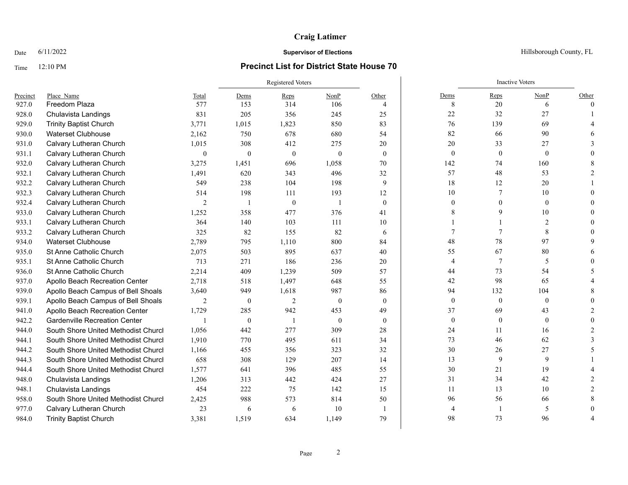## **Craig Latimer**

## Time 12:10 PM **Precinct List for District State House 70**

|          |                                      |                | Registered Voters |                |                |                |                | <b>Inactive Voters</b> |                          |          |
|----------|--------------------------------------|----------------|-------------------|----------------|----------------|----------------|----------------|------------------------|--------------------------|----------|
| Precinct | Place Name                           | Total          | Dems              | Reps           | NonP           | Other          | Dems           | Reps                   | NonP                     | Other    |
| 927.0    | Freedom Plaza                        | 577            | 153               | 314            | 106            | $\overline{4}$ | 8              | 20                     | 6                        | $\Omega$ |
| 928.0    | Chulavista Landings                  | 831            | 205               | 356            | 245            | 25             | 22             | 32                     | 27                       |          |
| 929.0    | <b>Trinity Baptist Church</b>        | 3,771          | 1,015             | 1,823          | 850            | 83             | 76             | 139                    | 69                       |          |
| 930.0    | <b>Waterset Clubhouse</b>            | 2,162          | 750               | 678            | 680            | 54             | 82             | 66                     | 90                       |          |
| 931.0    | Calvary Lutheran Church              | 1,015          | 308               | 412            | 275            | 20             | 20             | 33                     | 27                       |          |
| 931.1    | Calvary Lutheran Church              | $\theta$       | $\mathbf{0}$      | $\mathbf{0}$   | $\mathbf{0}$   | $\overline{0}$ | $\mathbf{0}$   | $\mathbf{0}$           | $\theta$                 |          |
| 932.0    | Calvary Lutheran Church              | 3,275          | 1,451             | 696            | 1,058          | 70             | 142            | 74                     | 160                      |          |
| 932.1    | Calvary Lutheran Church              | 1,491          | 620               | 343            | 496            | 32             | 57             | 48                     | 53                       |          |
| 932.2    | Calvary Lutheran Church              | 549            | 238               | 104            | 198            | 9              | 18             | 12                     | 20                       |          |
| 932.3    | Calvary Lutheran Church              | 514            | 198               | 111            | 193            | 12             | 10             | 7                      | 10                       |          |
| 932.4    | Calvary Lutheran Church              | $\overline{c}$ | $\overline{1}$    | $\mathbf{0}$   | $\overline{1}$ | $\theta$       | $\mathbf{0}$   |                        | $\mathbf{0}$             |          |
| 933.0    | Calvary Lutheran Church              | 1,252          | 358               | 477            | 376            | 41             | 8              |                        | 10                       |          |
| 933.1    | Calvary Lutheran Church              | 364            | 140               | 103            | 111            | 10             |                |                        | $\overline{2}$           |          |
| 933.2    | Calvary Lutheran Church              | 325            | 82                | 155            | 82             | 6              | 7              |                        | 8                        |          |
| 934.0    | <b>Waterset Clubhouse</b>            | 2,789          | 795               | 1,110          | 800            | 84             | 48             | 78                     | 97                       |          |
| 935.0    | St Anne Catholic Church              | 2,075          | 503               | 895            | 637            | 40             | 55             | 67                     | 80                       |          |
| 935.1    | St Anne Catholic Church              | 713            | 271               | 186            | 236            | 20             | $\overline{4}$ | $7\phantom{.0}$        | 5                        |          |
| 936.0    | St Anne Catholic Church              | 2,214          | 409               | 1,239          | 509            | 57             | 44             | 73                     | 54                       |          |
| 937.0    | Apollo Beach Recreation Center       | 2,718          | 518               | 1,497          | 648            | 55             | 42             | 98                     | 65                       |          |
| 939.0    | Apollo Beach Campus of Bell Shoals   | 3,640          | 949               | 1,618          | 987            | 86             | 94             | 132                    | 104                      |          |
| 939.1    | Apollo Beach Campus of Bell Shoals   | $\overline{2}$ | $\mathbf{0}$      | 2              | $\mathbf{0}$   | $\theta$       | $\mathbf{0}$   | $\mathbf{0}$           | $\mathbf{0}$             |          |
| 941.0    | Apollo Beach Recreation Center       | 1,729          | 285               | 942            | 453            | 49             | 37             | 69                     | 43                       |          |
| 942.2    | <b>Gardenville Recreation Center</b> |                | $\mathbf{0}$      | $\overline{1}$ | $\theta$       | $\theta$       | $\mathbf{0}$   | $\mathbf{0}$           | $\theta$                 |          |
| 944.0    | South Shore United Methodist Churcl  | 1.056          | 442               | 277            | 309            | 28             | 24             | 11                     | 16                       |          |
| 944.1    | South Shore United Methodist Churcl  | 1,910          | 770               | 495            | 611            | 34             | 73             | 46                     | 62                       |          |
| 944.2    | South Shore United Methodist Churcl  | 1,166          | 455               | 356            | 323            | 32             | 30             | 26                     | 27                       |          |
| 944.3    | South Shore United Methodist Churcl  | 658            | 308               | 129            | 207            | 14             | 13             | 9                      | 9                        |          |
| 944.4    | South Shore United Methodist Churcl  | 1,577          | 641               | 396            | 485            | 55             | $30\,$         | 21                     | 19                       |          |
| 948.0    | Chulavista Landings                  | 1,206          | 313               | 442            | 424            | 27             | 31             | 34                     | 42                       |          |
| 948.1    | Chulavista Landings                  | 454            | 222               | 75             | 142            | 15             | 11             | 13                     | 10                       |          |
| 958.0    | South Shore United Methodist Churcl  | 2,425          | 988               | 573            | 814            | 50             | 96             | 56                     | 66                       |          |
| 977.0    | Calvary Lutheran Church              | 23             | 6                 | 6              | 10             | $\overline{1}$ | $\overline{4}$ |                        | $\overline{\phantom{0}}$ |          |
| 984.0    | <b>Trinity Baptist Church</b>        | 3,381          | 1,519             | 634            | 1,149          | 79             | 98             | 73                     | 96                       |          |

Date  $6/11/2022$  Hillsborough County, FL